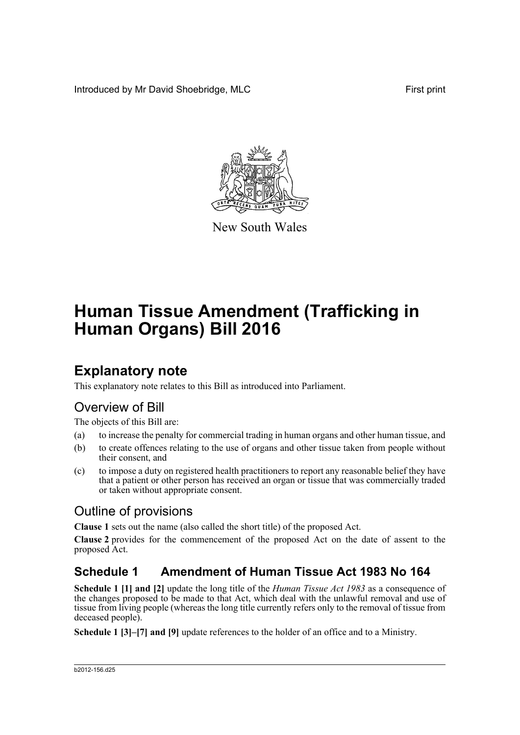Introduced by Mr David Shoebridge, MLC First print



New South Wales

# **Human Tissue Amendment (Trafficking in Human Organs) Bill 2016**

# **Explanatory note**

This explanatory note relates to this Bill as introduced into Parliament.

# Overview of Bill

The objects of this Bill are:

- (a) to increase the penalty for commercial trading in human organs and other human tissue, and
- (b) to create offences relating to the use of organs and other tissue taken from people without their consent, and
- (c) to impose a duty on registered health practitioners to report any reasonable belief they have that a patient or other person has received an organ or tissue that was commercially traded or taken without appropriate consent.

# Outline of provisions

**Clause 1** sets out the name (also called the short title) of the proposed Act.

**Clause 2** provides for the commencement of the proposed Act on the date of assent to the proposed Act.

# **Schedule 1 Amendment of Human Tissue Act 1983 No 164**

**Schedule 1 [1] and [2]** update the long title of the *Human Tissue Act 1983* as a consequence of the changes proposed to be made to that Act, which deal with the unlawful removal and use of tissue from living people (whereas the long title currently refers only to the removal of tissue from deceased people).

**Schedule 1 [3]–[7] and [9]** update references to the holder of an office and to a Ministry.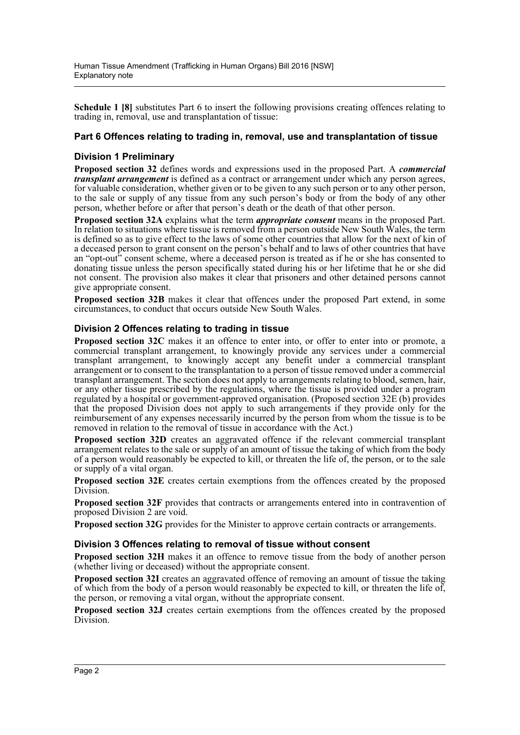**Schedule 1 [8]** substitutes Part 6 to insert the following provisions creating offences relating to trading in, removal, use and transplantation of tissue:

### **Part 6 Offences relating to trading in, removal, use and transplantation of tissue**

### **Division 1 Preliminary**

**Proposed section 32** defines words and expressions used in the proposed Part. A *commercial transplant arrangement* is defined as a contract or arrangement under which any person agrees, for valuable consideration, whether given or to be given to any such person or to any other person, to the sale or supply of any tissue from any such person's body or from the body of any other person, whether before or after that person's death or the death of that other person.

**Proposed section 32A** explains what the term *appropriate consent* means in the proposed Part. In relation to situations where tissue is removed from a person outside New South Wales, the term is defined so as to give effect to the laws of some other countries that allow for the next of kin of a deceased person to grant consent on the person's behalf and to laws of other countries that have an "opt-out" consent scheme, where a deceased person is treated as if he or she has consented to donating tissue unless the person specifically stated during his or her lifetime that he or she did not consent. The provision also makes it clear that prisoners and other detained persons cannot give appropriate consent.

**Proposed section 32B** makes it clear that offences under the proposed Part extend, in some circumstances, to conduct that occurs outside New South Wales.

## **Division 2 Offences relating to trading in tissue**

**Proposed section 32C** makes it an offence to enter into, or offer to enter into or promote, a commercial transplant arrangement, to knowingly provide any services under a commercial transplant arrangement, to knowingly accept any benefit under a commercial transplant arrangement or to consent to the transplantation to a person of tissue removed under a commercial transplant arrangement. The section does not apply to arrangements relating to blood, semen, hair, or any other tissue prescribed by the regulations, where the tissue is provided under a program regulated by a hospital or government-approved organisation. (Proposed section 32E (b) provides that the proposed Division does not apply to such arrangements if they provide only for the reimbursement of any expenses necessarily incurred by the person from whom the tissue is to be removed in relation to the removal of tissue in accordance with the Act.)

**Proposed section 32D** creates an aggravated offence if the relevant commercial transplant arrangement relates to the sale or supply of an amount of tissue the taking of which from the body of a person would reasonably be expected to kill, or threaten the life of, the person, or to the sale or supply of a vital organ.

**Proposed section 32E** creates certain exemptions from the offences created by the proposed Division.

**Proposed section 32F** provides that contracts or arrangements entered into in contravention of proposed Division 2 are void.

**Proposed section 32G** provides for the Minister to approve certain contracts or arrangements.

### **Division 3 Offences relating to removal of tissue without consent**

**Proposed section 32H** makes it an offence to remove tissue from the body of another person (whether living or deceased) without the appropriate consent.

**Proposed section 32I** creates an aggravated offence of removing an amount of tissue the taking of which from the body of a person would reasonably be expected to kill, or threaten the life of, the person, or removing a vital organ, without the appropriate consent.

**Proposed section 32J** creates certain exemptions from the offences created by the proposed Division.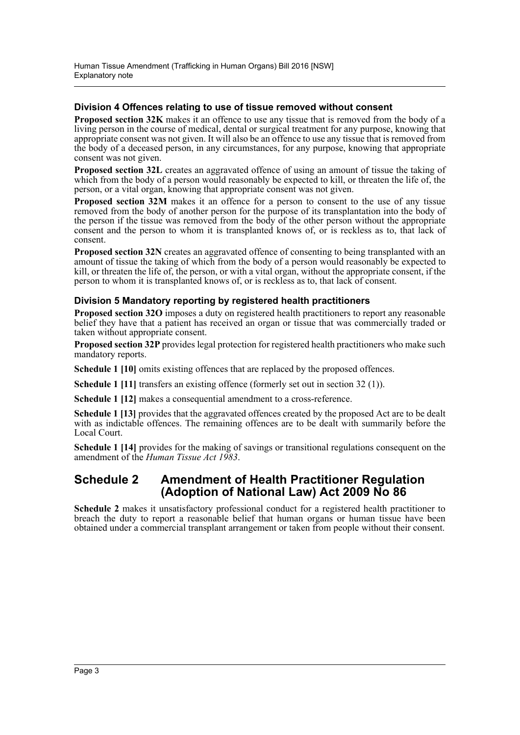### **Division 4 Offences relating to use of tissue removed without consent**

**Proposed section 32K** makes it an offence to use any tissue that is removed from the body of a living person in the course of medical, dental or surgical treatment for any purpose, knowing that appropriate consent was not given. It will also be an offence to use any tissue that is removed from the body of a deceased person, in any circumstances, for any purpose, knowing that appropriate consent was not given.

**Proposed section 32L** creates an aggravated offence of using an amount of tissue the taking of which from the body of a person would reasonably be expected to kill, or threaten the life of, the person, or a vital organ, knowing that appropriate consent was not given.

**Proposed section 32M** makes it an offence for a person to consent to the use of any tissue removed from the body of another person for the purpose of its transplantation into the body of the person if the tissue was removed from the body of the other person without the appropriate consent and the person to whom it is transplanted knows of, or is reckless as to, that lack of consent.

**Proposed section 32N** creates an aggravated offence of consenting to being transplanted with an amount of tissue the taking of which from the body of a person would reasonably be expected to kill, or threaten the life of, the person, or with a vital organ, without the appropriate consent, if the person to whom it is transplanted knows of, or is reckless as to, that lack of consent.

### **Division 5 Mandatory reporting by registered health practitioners**

**Proposed section 32O** imposes a duty on registered health practitioners to report any reasonable belief they have that a patient has received an organ or tissue that was commercially traded or taken without appropriate consent.

**Proposed section 32P** provides legal protection for registered health practitioners who make such mandatory reports.

**Schedule 1 [10]** omits existing offences that are replaced by the proposed offences.

**Schedule 1 [11]** transfers an existing offence (formerly set out in section 32 (1)).

**Schedule 1 [12]** makes a consequential amendment to a cross-reference.

**Schedule 1 [13]** provides that the aggravated offences created by the proposed Act are to be dealt with as indictable offences. The remaining offences are to be dealt with summarily before the Local Court.

**Schedule 1 [14]** provides for the making of savings or transitional regulations consequent on the amendment of the *Human Tissue Act 1983*.

## **Schedule 2 Amendment of Health Practitioner Regulation (Adoption of National Law) Act 2009 No 86**

**Schedule 2** makes it unsatisfactory professional conduct for a registered health practitioner to breach the duty to report a reasonable belief that human organs or human tissue have been obtained under a commercial transplant arrangement or taken from people without their consent.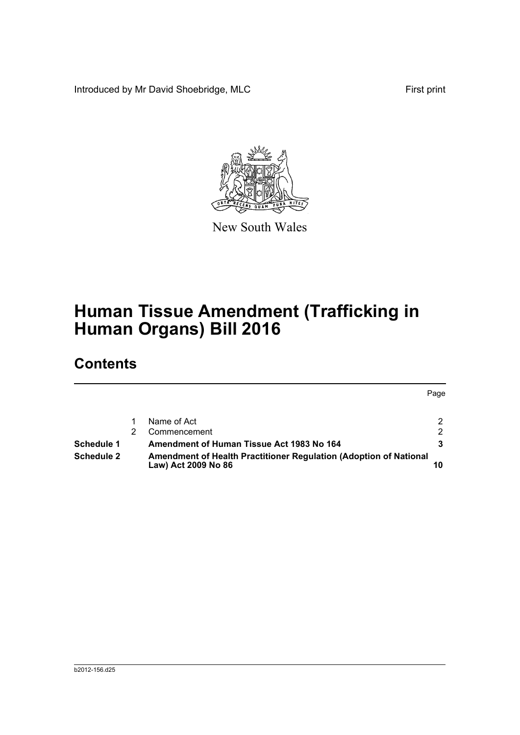Introduced by Mr David Shoebridge, MLC First print



New South Wales

# **Human Tissue Amendment (Trafficking in Human Organs) Bill 2016**

# **Contents**

|            |                                                                                          | Page          |
|------------|------------------------------------------------------------------------------------------|---------------|
|            | Name of Act                                                                              | 2.            |
|            | Commencement                                                                             | $\mathcal{P}$ |
| Schedule 1 | Amendment of Human Tissue Act 1983 No 164                                                |               |
| Schedule 2 | Amendment of Health Practitioner Regulation (Adoption of National<br>Law) Act 2009 No 86 |               |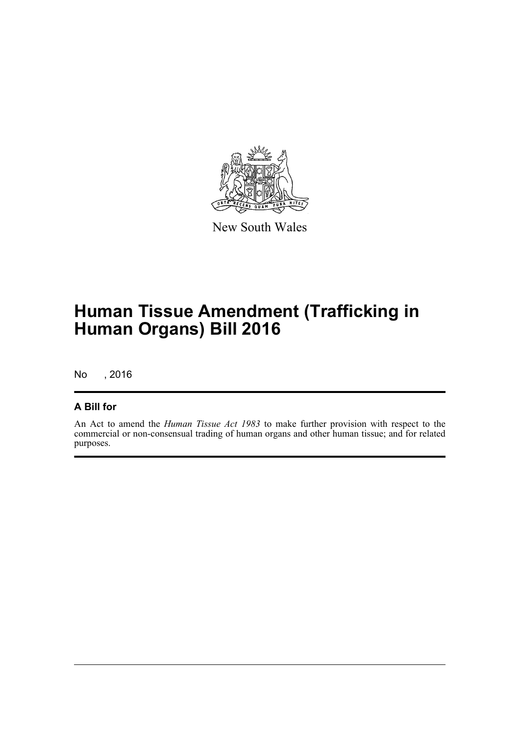

New South Wales

# **Human Tissue Amendment (Trafficking in Human Organs) Bill 2016**

No , 2016

## **A Bill for**

An Act to amend the *Human Tissue Act 1983* to make further provision with respect to the commercial or non-consensual trading of human organs and other human tissue; and for related purposes.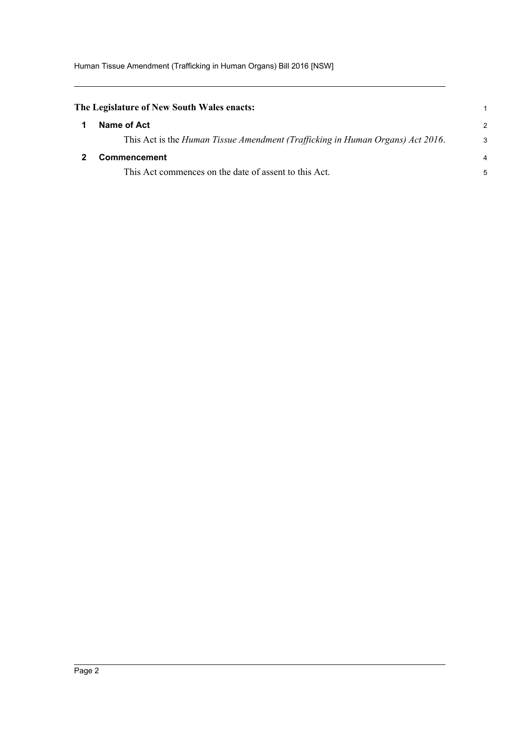<span id="page-5-1"></span><span id="page-5-0"></span>

| The Legislature of New South Wales enacts:                                     |                |
|--------------------------------------------------------------------------------|----------------|
| Name of Act                                                                    | $\mathcal{P}$  |
| This Act is the Human Tissue Amendment (Trafficking in Human Organs) Act 2016. | 3              |
| Commencement                                                                   | $\overline{4}$ |
| This Act commences on the date of assent to this Act.                          | 5              |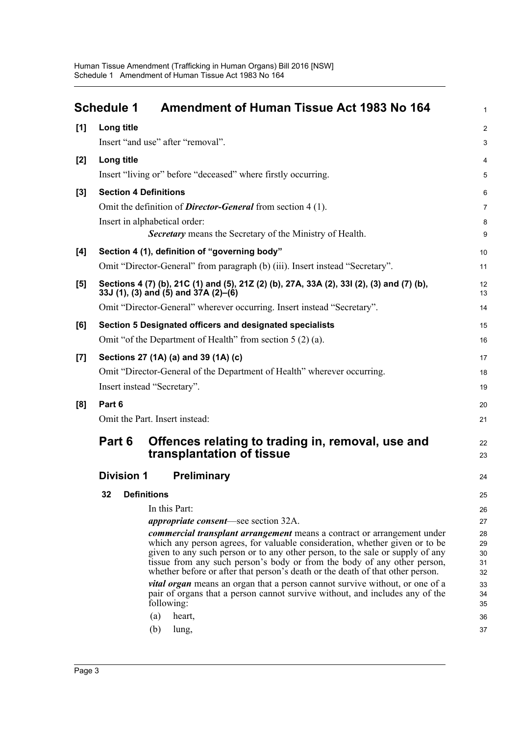<span id="page-6-0"></span>

|       | <b>Schedule 1</b>                                           | <b>Amendment of Human Tissue Act 1983 No 164</b>                                                                                                             | $\mathbf{1}$   |  |  |
|-------|-------------------------------------------------------------|--------------------------------------------------------------------------------------------------------------------------------------------------------------|----------------|--|--|
| [1]   | Long title                                                  |                                                                                                                                                              | $\overline{2}$ |  |  |
|       |                                                             | Insert "and use" after "removal".                                                                                                                            | 3              |  |  |
| $[2]$ | Long title                                                  |                                                                                                                                                              | 4              |  |  |
|       |                                                             | Insert "living or" before "deceased" where firstly occurring.                                                                                                | 5              |  |  |
| $[3]$ | <b>Section 4 Definitions</b>                                |                                                                                                                                                              |                |  |  |
|       |                                                             | Omit the definition of <b>Director-General</b> from section 4 (1).                                                                                           |                |  |  |
|       |                                                             | Insert in alphabetical order:                                                                                                                                | 8              |  |  |
|       |                                                             | <b>Secretary</b> means the Secretary of the Ministry of Health.                                                                                              | 9              |  |  |
| [4]   |                                                             | Section 4 (1), definition of "governing body"                                                                                                                |                |  |  |
|       |                                                             | Omit "Director-General" from paragraph (b) (iii). Insert instead "Secretary".                                                                                | 11             |  |  |
| [5]   |                                                             | Sections 4 (7) (b), 21C (1) and (5), 21Z (2) (b), 27A, 33A (2), 33I (2), (3) and (7) (b),<br>33J (1), (3) and (5) and $37A(2)$ –(6)                          | 12<br>13       |  |  |
|       |                                                             | Omit "Director-General" wherever occurring. Insert instead "Secretary".                                                                                      | 14             |  |  |
| [6]   |                                                             | Section 5 Designated officers and designated specialists                                                                                                     | 15             |  |  |
|       | Omit "of the Department of Health" from section $5(2)(a)$ . |                                                                                                                                                              |                |  |  |
| $[7]$ | Sections 27 (1A) (a) and 39 (1A) (c)                        |                                                                                                                                                              |                |  |  |
|       |                                                             | Omit "Director-General of the Department of Health" wherever occurring.                                                                                      | 18             |  |  |
|       | Insert instead "Secretary".                                 |                                                                                                                                                              |                |  |  |
| [8]   | Part 6                                                      |                                                                                                                                                              | 20             |  |  |
|       | Omit the Part. Insert instead:                              |                                                                                                                                                              |                |  |  |
|       | Part 6                                                      | Offences relating to trading in, removal, use and<br>transplantation of tissue                                                                               | 22<br>23       |  |  |
|       | <b>Division 1</b>                                           | <b>Preliminary</b>                                                                                                                                           | 24             |  |  |
|       | 32                                                          | <b>Definitions</b>                                                                                                                                           | 25             |  |  |
|       |                                                             | In this Part:                                                                                                                                                | 26             |  |  |
|       |                                                             | <i>appropriate consent</i> —see section 32A.                                                                                                                 | 27             |  |  |
|       |                                                             | <i>commercial transplant arrangement</i> means a contract or arrangement under                                                                               | 28             |  |  |
|       |                                                             | which any person agrees, for valuable consideration, whether given or to be<br>given to any such person or to any other person, to the sale or supply of any | 29<br>30       |  |  |
|       |                                                             | tissue from any such person's body or from the body of any other person,<br>whether before or after that person's death or the death of that other person.   | 31             |  |  |
|       |                                                             | <i>vital organ</i> means an organ that a person cannot survive without, or one of a                                                                          | 32<br>33       |  |  |
|       |                                                             | pair of organs that a person cannot survive without, and includes any of the<br>following:                                                                   | 34<br>35       |  |  |
|       |                                                             | (a)<br>heart,                                                                                                                                                | 36             |  |  |
|       |                                                             | (b)<br>lung,                                                                                                                                                 | 37             |  |  |
|       |                                                             |                                                                                                                                                              |                |  |  |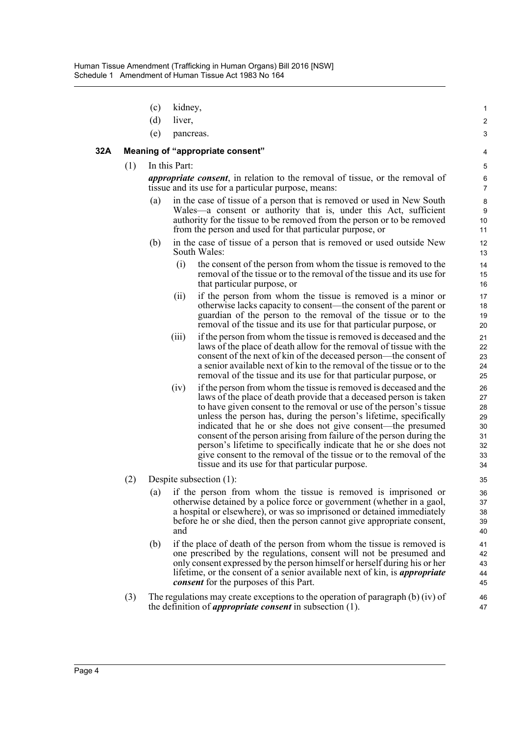- (c) kidney,
- (d) liver,
- (e) pancreas.

#### **32A Meaning of "appropriate consent"**

(1) In this Part:

*appropriate consent*, in relation to the removal of tissue, or the removal of tissue and its use for a particular purpose, means:

- in the case of tissue of a person that is removed or used in New South Wales—a consent or authority that is, under this Act, sufficient authority for the tissue to be removed from the person or to be removed from the person and used for that particular purpose, or
- (b) in the case of tissue of a person that is removed or used outside New South Wales:
	- (i) the consent of the person from whom the tissue is removed to the removal of the tissue or to the removal of the tissue and its use for that particular purpose, or
	- (ii) if the person from whom the tissue is removed is a minor or otherwise lacks capacity to consent—the consent of the parent or guardian of the person to the removal of the tissue or to the removal of the tissue and its use for that particular purpose, or
	- (iii) if the person from whom the tissue is removed is deceased and the laws of the place of death allow for the removal of tissue with the consent of the next of kin of the deceased person—the consent of a senior available next of kin to the removal of the tissue or to the removal of the tissue and its use for that particular purpose, or
	- (iv) if the person from whom the tissue is removed is deceased and the laws of the place of death provide that a deceased person is taken to have given consent to the removal or use of the person's tissue unless the person has, during the person's lifetime, specifically indicated that he or she does not give consent—the presumed consent of the person arising from failure of the person during the person's lifetime to specifically indicate that he or she does not give consent to the removal of the tissue or to the removal of the tissue and its use for that particular purpose.
- (2) Despite subsection (1):
	- (a) if the person from whom the tissue is removed is imprisoned or otherwise detained by a police force or government (whether in a gaol, a hospital or elsewhere), or was so imprisoned or detained immediately before he or she died, then the person cannot give appropriate consent, and
	- (b) if the place of death of the person from whom the tissue is removed is one prescribed by the regulations, consent will not be presumed and only consent expressed by the person himself or herself during his or her lifetime, or the consent of a senior available next of kin, is *appropriate consent* for the purposes of this Part.
- (3) The regulations may create exceptions to the operation of paragraph (b) (iv) of the definition of *appropriate consent* in subsection (1).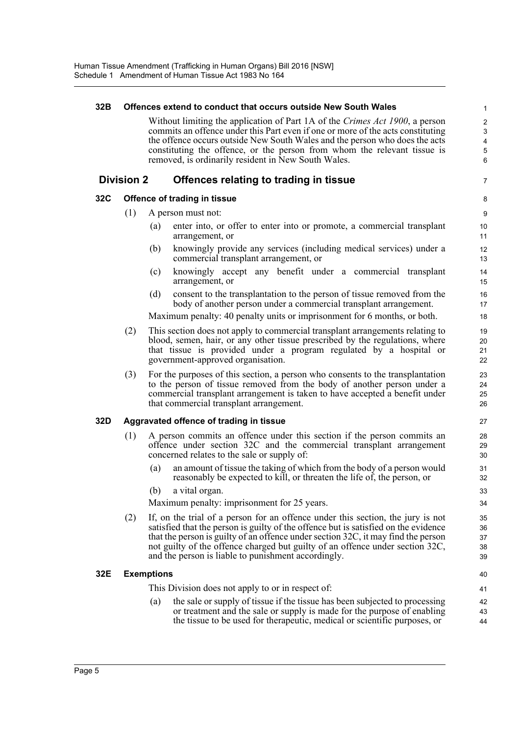## **32B Offences extend to conduct that occurs outside New South Wales**

Without limiting the application of Part 1A of the *Crimes Act 1900*, a person commits an offence under this Part even if one or more of the acts constituting the offence occurs outside New South Wales and the person who does the acts constituting the offence, or the person from whom the relevant tissue is removed, is ordinarily resident in New South Wales.

7

#### **Division 2 Offences relating to trading in tissue**

#### **32C Offence of trading in tissue**

- (1) A person must not:
	- (a) enter into, or offer to enter into or promote, a commercial transplant arrangement, or
	- (b) knowingly provide any services (including medical services) under a commercial transplant arrangement, or
	- (c) knowingly accept any benefit under a commercial transplant arrangement, or
	- (d) consent to the transplantation to the person of tissue removed from the body of another person under a commercial transplant arrangement.

Maximum penalty: 40 penalty units or imprisonment for 6 months, or both.

- (2) This section does not apply to commercial transplant arrangements relating to blood, semen, hair, or any other tissue prescribed by the regulations, where that tissue is provided under a program regulated by a hospital or government-approved organisation.
- (3) For the purposes of this section, a person who consents to the transplantation to the person of tissue removed from the body of another person under a commercial transplant arrangement is taken to have accepted a benefit under that commercial transplant arrangement.

#### **32D Aggravated offence of trading in tissue**

- (1) A person commits an offence under this section if the person commits an offence under section 32C and the commercial transplant arrangement concerned relates to the sale or supply of:
	- (a) an amount of tissue the taking of which from the body of a person would reasonably be expected to kill, or threaten the life of, the person, or
	- (b) a vital organ.

Maximum penalty: imprisonment for 25 years.

(2) If, on the trial of a person for an offence under this section, the jury is not satisfied that the person is guilty of the offence but is satisfied on the evidence that the person is guilty of an offence under section 32C, it may find the person not guilty of the offence charged but guilty of an offence under section 32C, and the person is liable to punishment accordingly.

#### **32E Exemptions**

This Division does not apply to or in respect of:

(a) the sale or supply of tissue if the tissue has been subjected to processing or treatment and the sale or supply is made for the purpose of enabling the tissue to be used for therapeutic, medical or scientific purposes, or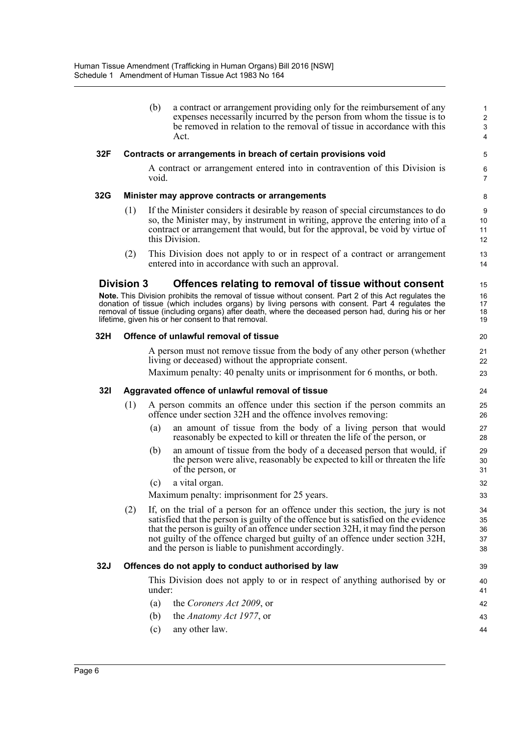|     | (b) | a contract or arrangement providing only for the reimbursement of any<br>expenses necessarily incurred by the person from whom the tissue is to<br>be removed in relation to the removal of tissue in accordance with this<br>Act. |
|-----|-----|------------------------------------------------------------------------------------------------------------------------------------------------------------------------------------------------------------------------------------|
| 32F |     | Contracts or arrangements in breach of certain provisions void                                                                                                                                                                     |

### A contract or arrangement entered into in contravention of this Division is void.

#### **32G Minister may approve contracts or arrangements**

- (1) If the Minister considers it desirable by reason of special circumstances to do so, the Minister may, by instrument in writing, approve the entering into of a contract or arrangement that would, but for the approval, be void by virtue of this Division.
- (2) This Division does not apply to or in respect of a contract or arrangement entered into in accordance with such an approval.

### **Division 3 Offences relating to removal of tissue without consent**

**Note.** This Division prohibits the removal of tissue without consent. Part 2 of this Act regulates the donation of tissue (which includes organs) by living persons with consent. Part 4 regulates the removal of tissue (including organs) after death, where the deceased person had, during his or her lifetime, given his or her consent to that removal.

#### **32H Offence of unlawful removal of tissue**

A person must not remove tissue from the body of any other person (whether living or deceased) without the appropriate consent.

Maximum penalty: 40 penalty units or imprisonment for 6 months, or both.

#### **32I Aggravated offence of unlawful removal of tissue**

- (1) A person commits an offence under this section if the person commits an offence under section 32H and the offence involves removing:
	- (a) an amount of tissue from the body of a living person that would reasonably be expected to kill or threaten the life of the person, or
	- (b) an amount of tissue from the body of a deceased person that would, if the person were alive, reasonably be expected to kill or threaten the life of the person, or
	- (c) a vital organ.

Maximum penalty: imprisonment for 25 years.

(2) If, on the trial of a person for an offence under this section, the jury is not satisfied that the person is guilty of the offence but is satisfied on the evidence that the person is guilty of an offence under section 32H, it may find the person not guilty of the offence charged but guilty of an offence under section 32H, and the person is liable to punishment accordingly.

#### **32J Offences do not apply to conduct authorised by law**

This Division does not apply to or in respect of anything authorised by or under:

- (a) the *Coroners Act 2009*, or
- (b) the *Anatomy Act 1977*, or
- (c) any other law.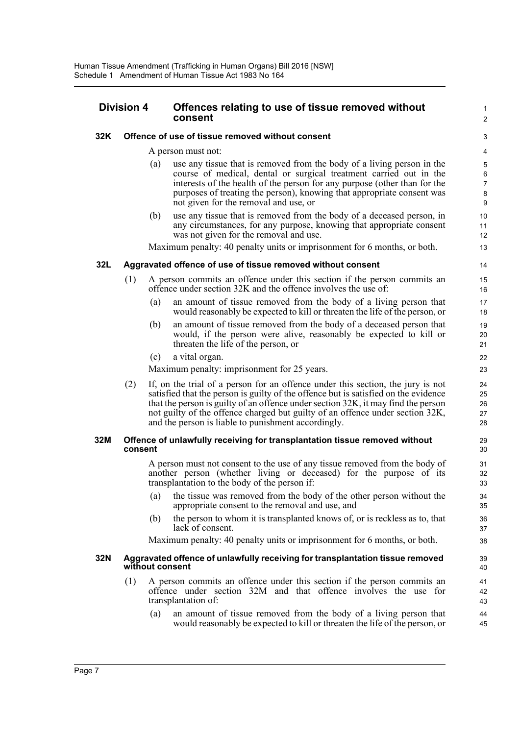#### **Division 4 Offences relating to use of tissue removed without consent**

#### **32K Offence of use of tissue removed without consent**

#### A person must not:

(a) use any tissue that is removed from the body of a living person in the course of medical, dental or surgical treatment carried out in the interests of the health of the person for any purpose (other than for the purposes of treating the person), knowing that appropriate consent was not given for the removal and use, or

1  $\overline{2}$ 

(b) use any tissue that is removed from the body of a deceased person, in any circumstances, for any purpose, knowing that appropriate consent was not given for the removal and use.

Maximum penalty: 40 penalty units or imprisonment for 6 months, or both.

#### **32L Aggravated offence of use of tissue removed without consent**

- (1) A person commits an offence under this section if the person commits an offence under section 32K and the offence involves the use of:
	- (a) an amount of tissue removed from the body of a living person that would reasonably be expected to kill or threaten the life of the person, or
	- (b) an amount of tissue removed from the body of a deceased person that would, if the person were alive, reasonably be expected to kill or threaten the life of the person, or
	- (c) a vital organ.

Maximum penalty: imprisonment for 25 years.

(2) If, on the trial of a person for an offence under this section, the jury is not satisfied that the person is guilty of the offence but is satisfied on the evidence that the person is guilty of an offence under section 32K, it may find the person not guilty of the offence charged but guilty of an offence under section 32K, and the person is liable to punishment accordingly.

#### **32M Offence of unlawfully receiving for transplantation tissue removed without consent**

A person must not consent to the use of any tissue removed from the body of another person (whether living or deceased) for the purpose of its transplantation to the body of the person if:

- (a) the tissue was removed from the body of the other person without the appropriate consent to the removal and use, and
- (b) the person to whom it is transplanted knows of, or is reckless as to, that lack of consent.

Maximum penalty: 40 penalty units or imprisonment for 6 months, or both.

#### **32N Aggravated offence of unlawfully receiving for transplantation tissue removed without consent**

- (1) A person commits an offence under this section if the person commits an offence under section 32M and that offence involves the use for transplantation of:
	- (a) an amount of tissue removed from the body of a living person that would reasonably be expected to kill or threaten the life of the person, or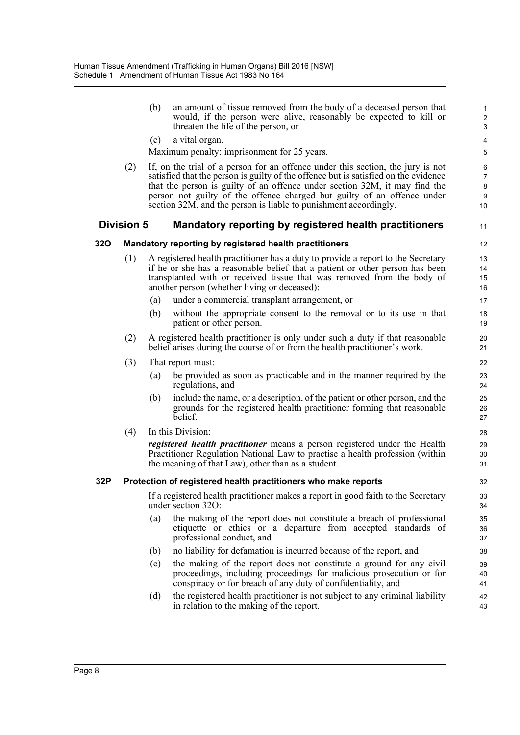| (b) | an amount of tissue removed from the body of a deceased person that |  |  |  |  |
|-----|---------------------------------------------------------------------|--|--|--|--|
|     | would, if the person were alive, reasonably be expected to kill or  |  |  |  |  |
|     | threaten the life of the person, or                                 |  |  |  |  |

(c) a vital organ.

Maximum penalty: imprisonment for 25 years.

(2) If, on the trial of a person for an offence under this section, the jury is not satisfied that the person is guilty of the offence but is satisfied on the evidence that the person is guilty of an offence under section 32M, it may find the person not guilty of the offence charged but guilty of an offence under section 32M, and the person is liable to punishment accordingly.

### **Division 5 Mandatory reporting by registered health practitioners**

#### **32O Mandatory reporting by registered health practitioners**

- (1) A registered health practitioner has a duty to provide a report to the Secretary if he or she has a reasonable belief that a patient or other person has been transplanted with or received tissue that was removed from the body of another person (whether living or deceased):
	- (a) under a commercial transplant arrangement, or
	- (b) without the appropriate consent to the removal or to its use in that patient or other person.
- (2) A registered health practitioner is only under such a duty if that reasonable belief arises during the course of or from the health practitioner's work.
- (3) That report must:
	- (a) be provided as soon as practicable and in the manner required by the regulations, and
	- (b) include the name, or a description, of the patient or other person, and the grounds for the registered health practitioner forming that reasonable belief.
- (4) In this Division:

*registered health practitioner* means a person registered under the Health Practitioner Regulation National Law to practise a health profession (within the meaning of that Law), other than as a student.

#### **32P Protection of registered health practitioners who make reports**

If a registered health practitioner makes a report in good faith to the Secretary under section 32O:

- (a) the making of the report does not constitute a breach of professional etiquette or ethics or a departure from accepted standards of professional conduct, and
- (b) no liability for defamation is incurred because of the report, and
- (c) the making of the report does not constitute a ground for any civil proceedings, including proceedings for malicious prosecution or for conspiracy or for breach of any duty of confidentiality, and
- (d) the registered health practitioner is not subject to any criminal liability in relation to the making of the report.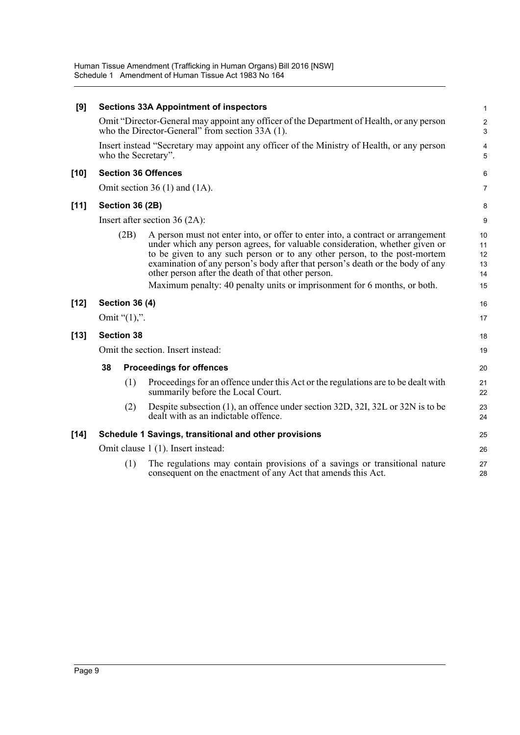Human Tissue Amendment (Trafficking in Human Organs) Bill 2016 [NSW] Schedule 1 Amendment of Human Tissue Act 1983 No 164

| [9]    |                                                                                                                   |                       | <b>Sections 33A Appointment of inspectors</b>                                                                                                                                                                                                                                                                                                                                                                                                                  | $\mathbf{1}$                     |
|--------|-------------------------------------------------------------------------------------------------------------------|-----------------------|----------------------------------------------------------------------------------------------------------------------------------------------------------------------------------------------------------------------------------------------------------------------------------------------------------------------------------------------------------------------------------------------------------------------------------------------------------------|----------------------------------|
|        |                                                                                                                   |                       | Omit "Director-General may appoint any officer of the Department of Health, or any person<br>who the Director-General" from section 33A (1).                                                                                                                                                                                                                                                                                                                   | $\overline{\mathbf{c}}$<br>3     |
|        | Insert instead "Secretary may appoint any officer of the Ministry of Health, or any person<br>who the Secretary". |                       |                                                                                                                                                                                                                                                                                                                                                                                                                                                                | 4<br>5                           |
| $[10]$ |                                                                                                                   |                       | <b>Section 36 Offences</b>                                                                                                                                                                                                                                                                                                                                                                                                                                     | 6                                |
|        |                                                                                                                   |                       | Omit section 36 $(1)$ and $(1A)$ .                                                                                                                                                                                                                                                                                                                                                                                                                             | $\overline{7}$                   |
| $[11]$ | Section 36 (2B)                                                                                                   |                       | 8                                                                                                                                                                                                                                                                                                                                                                                                                                                              |                                  |
|        | Insert after section $36(2A)$ :                                                                                   |                       |                                                                                                                                                                                                                                                                                                                                                                                                                                                                | 9                                |
|        |                                                                                                                   | (2B)                  | A person must not enter into, or offer to enter into, a contract or arrangement<br>under which any person agrees, for valuable consideration, whether given or<br>to be given to any such person or to any other person, to the post-mortem<br>examination of any person's body after that person's death or the body of any<br>other person after the death of that other person.<br>Maximum penalty: 40 penalty units or imprisonment for 6 months, or both. | 10<br>11<br>12<br>13<br>14<br>15 |
| $[12]$ |                                                                                                                   | <b>Section 36 (4)</b> |                                                                                                                                                                                                                                                                                                                                                                                                                                                                | 16                               |
|        |                                                                                                                   | Omit " $(1)$ ,".      |                                                                                                                                                                                                                                                                                                                                                                                                                                                                | 17                               |
| $[13]$ |                                                                                                                   | <b>Section 38</b>     |                                                                                                                                                                                                                                                                                                                                                                                                                                                                | 18                               |
|        | Omit the section. Insert instead:                                                                                 |                       | 19                                                                                                                                                                                                                                                                                                                                                                                                                                                             |                                  |
|        | 38                                                                                                                |                       | <b>Proceedings for offences</b>                                                                                                                                                                                                                                                                                                                                                                                                                                | 20                               |
|        |                                                                                                                   | (1)                   | Proceedings for an offence under this Act or the regulations are to be dealt with<br>summarily before the Local Court.                                                                                                                                                                                                                                                                                                                                         | 21<br>22                         |
|        |                                                                                                                   | (2)                   | Despite subsection (1), an offence under section 32D, 32I, 32L or 32N is to be<br>dealt with as an indictable offence.                                                                                                                                                                                                                                                                                                                                         | 23<br>24                         |
| $[14]$ |                                                                                                                   |                       | Schedule 1 Savings, transitional and other provisions                                                                                                                                                                                                                                                                                                                                                                                                          | 25                               |
|        | Omit clause 1 (1). Insert instead:                                                                                |                       | 26                                                                                                                                                                                                                                                                                                                                                                                                                                                             |                                  |
|        |                                                                                                                   | (1)                   | The regulations may contain provisions of a savings or transitional nature<br>consequent on the enactment of any Act that amends this Act.                                                                                                                                                                                                                                                                                                                     | 27<br>28                         |
|        |                                                                                                                   |                       |                                                                                                                                                                                                                                                                                                                                                                                                                                                                |                                  |